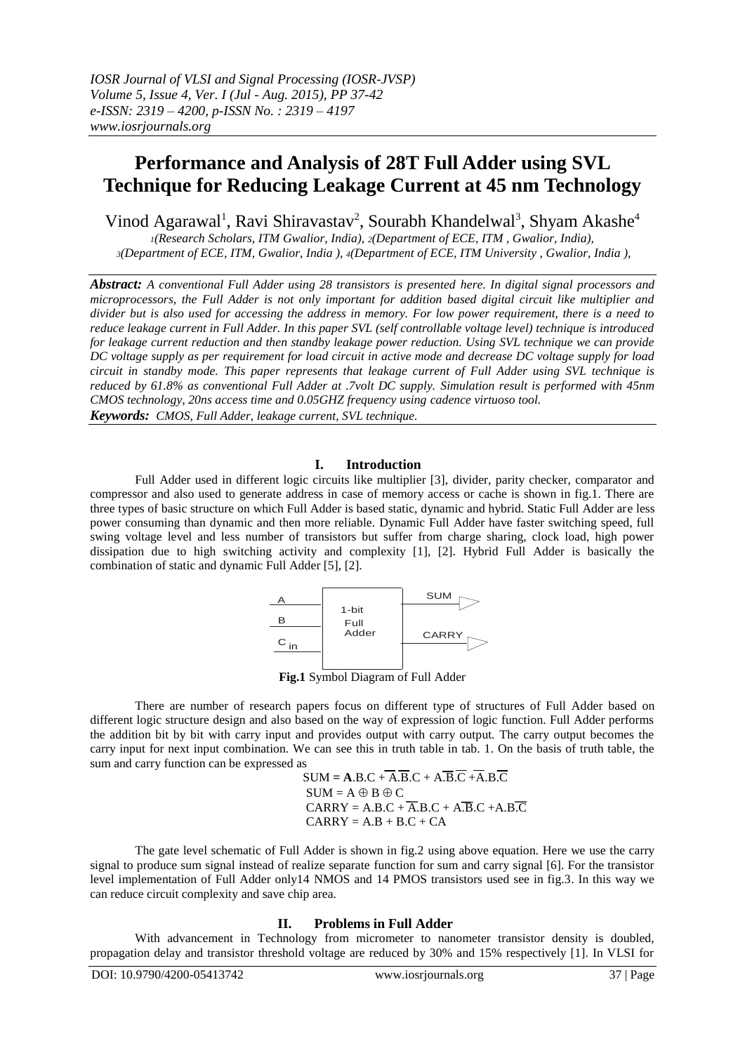# **Performance and Analysis of 28T Full Adder using SVL Technique for Reducing Leakage Current at 45 nm Technology**

Vinod Agarawal<sup>1</sup>, Ravi Shiravastav<sup>2</sup>, Sourabh Khandelwal<sup>3</sup>, Shyam Akashe<sup>4</sup>

*<sup>1</sup>(Research Scholars, ITM Gwalior, India), 2(Department of ECE, ITM , Gwalior, India), <sup>3</sup>(Department of ECE, ITM, Gwalior, India ), 4(Department of ECE, ITM University , Gwalior, India ),*

*Abstract: A conventional Full Adder using 28 transistors is presented here. In digital signal processors and microprocessors, the Full Adder is not only important for addition based digital circuit like multiplier and divider but is also used for accessing the address in memory. For low power requirement, there is a need to reduce leakage current in Full Adder. In this paper SVL (self controllable voltage level) technique is introduced for leakage current reduction and then standby leakage power reduction. Using SVL technique we can provide DC voltage supply as per requirement for load circuit in active mode and decrease DC voltage supply for load circuit in standby mode. This paper represents that leakage current of Full Adder using SVL technique is reduced by 61.8% as conventional Full Adder at .7volt DC supply. Simulation result is performed with 45nm CMOS technology, 20ns access time and 0.05GHZ frequency using cadence virtuoso tool. Keywords: CMOS, Full Adder, leakage current, SVL technique.*

#### **I. Introduction**

Full Adder used in different logic circuits like multiplier [3], divider, parity checker, comparator and compressor and also used to generate address in case of memory access or cache is shown in fig.1. There are three types of basic structure on which Full Adder is based static, dynamic and hybrid. Static Full Adder are less power consuming than dynamic and then more reliable. Dynamic Full Adder have faster switching speed, full swing voltage level and less number of transistors but suffer from charge sharing, clock load, high power dissipation due to high switching activity and complexity [1], [2]. Hybrid Full Adder is basically the combination of static and dynamic Full Adder [5], [2].



**Fig.1** Symbol Diagram of Full Adder

There are number of research papers focus on different type of structures of Full Adder based on different logic structure design and also based on the way of expression of logic function. Full Adder performs the addition bit by bit with carry input and provides output with carry output. The carry output becomes the carry input for next input combination. We can see this in truth table in tab. 1. On the basis of truth table, the sum and carry function can be expressed as

 $SUM = A.B.C + A.B.C + A.B.\overline{C} + \overline{A.B.C}$  $SUM = A \oplus B \oplus C$  $CARRY = A.B.C + \overline{A.B.C} + A.\overline{B.C} + A.B.\overline{C}$  $CARRY = A.B + B.C + CA$ 

The gate level schematic of Full Adder is shown in fig.2 using above equation. Here we use the carry signal to produce sum signal instead of realize separate function for sum and carry signal [6]. For the transistor level implementation of Full Adder only14 NMOS and 14 PMOS transistors used see in fig.3. In this way we can reduce circuit complexity and save chip area.

## **II. Problems in Full Adder**

With advancement in Technology from micrometer to nanometer transistor density is doubled, propagation delay and transistor threshold voltage are reduced by 30% and 15% respectively [1]. In VLSI for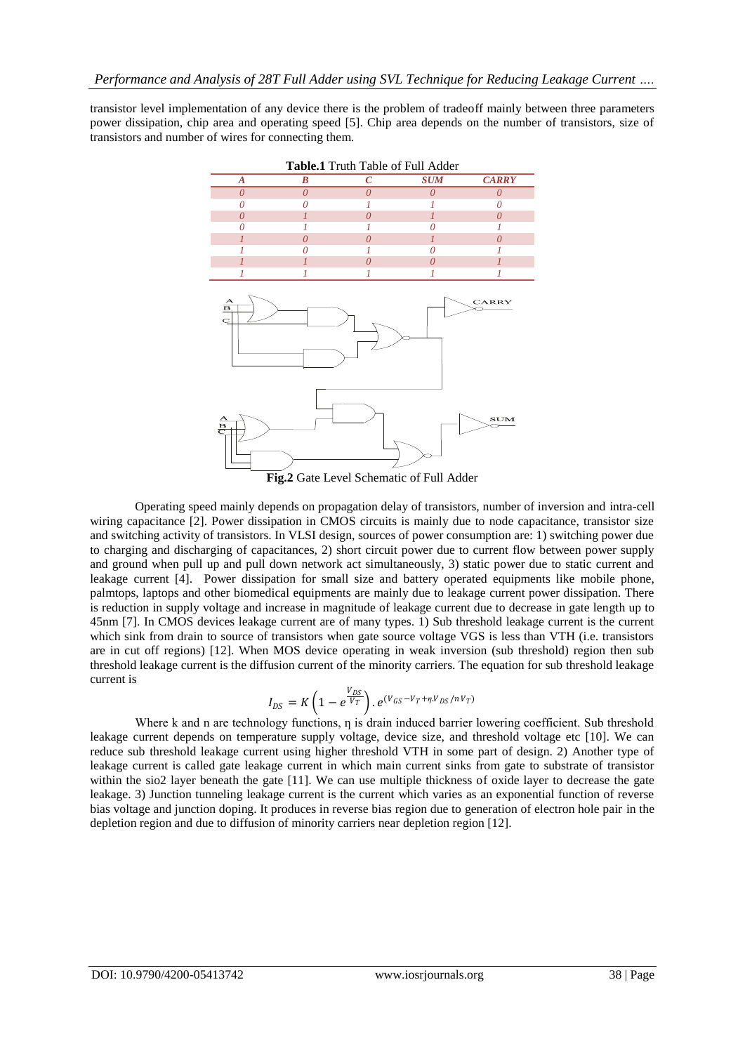transistor level implementation of any device there is the problem of tradeoff mainly between three parameters power dissipation, chip area and operating speed [5]. Chip area depends on the number of transistors, size of transistors and number of wires for connecting them.



Operating speed mainly depends on propagation delay of transistors, number of inversion and intra-cell wiring capacitance [2]. Power dissipation in CMOS circuits is mainly due to node capacitance, transistor size and switching activity of transistors. In VLSI design, sources of power consumption are: 1) switching power due to charging and discharging of capacitances, 2) short circuit power due to current flow between power supply and ground when pull up and pull down network act simultaneously, 3) static power due to static current and leakage current [4]. Power dissipation for small size and battery operated equipments like mobile phone, palmtops, laptops and other biomedical equipments are mainly due to leakage current power dissipation. There is reduction in supply voltage and increase in magnitude of leakage current due to decrease in gate length up to 45nm [7]. In CMOS devices leakage current are of many types. 1) Sub threshold leakage current is the current which sink from drain to source of transistors when gate source voltage VGS is less than VTH (i.e. transistors are in cut off regions) [12]. When MOS device operating in weak inversion (sub threshold) region then sub threshold leakage current is the diffusion current of the minority carriers. The equation for sub threshold leakage current is

$$
I_{DS} = K \left( 1 - e^{\frac{V_{DS}}{V_T}} \right) \cdot e^{(V_{GS} - V_T + \eta . V_{DS}/nV_T)}
$$

Where k and n are technology functions,  $\eta$  is drain induced barrier lowering coefficient. Sub threshold leakage current depends on temperature supply voltage, device size, and threshold voltage etc [10]. We can reduce sub threshold leakage current using higher threshold VTH in some part of design. 2) Another type of leakage current is called gate leakage current in which main current sinks from gate to substrate of transistor within the sio2 layer beneath the gate [11]. We can use multiple thickness of oxide layer to decrease the gate leakage. 3) Junction tunneling leakage current is the current which varies as an exponential function of reverse bias voltage and junction doping. It produces in reverse bias region due to generation of electron hole pair in the depletion region and due to diffusion of minority carriers near depletion region [12].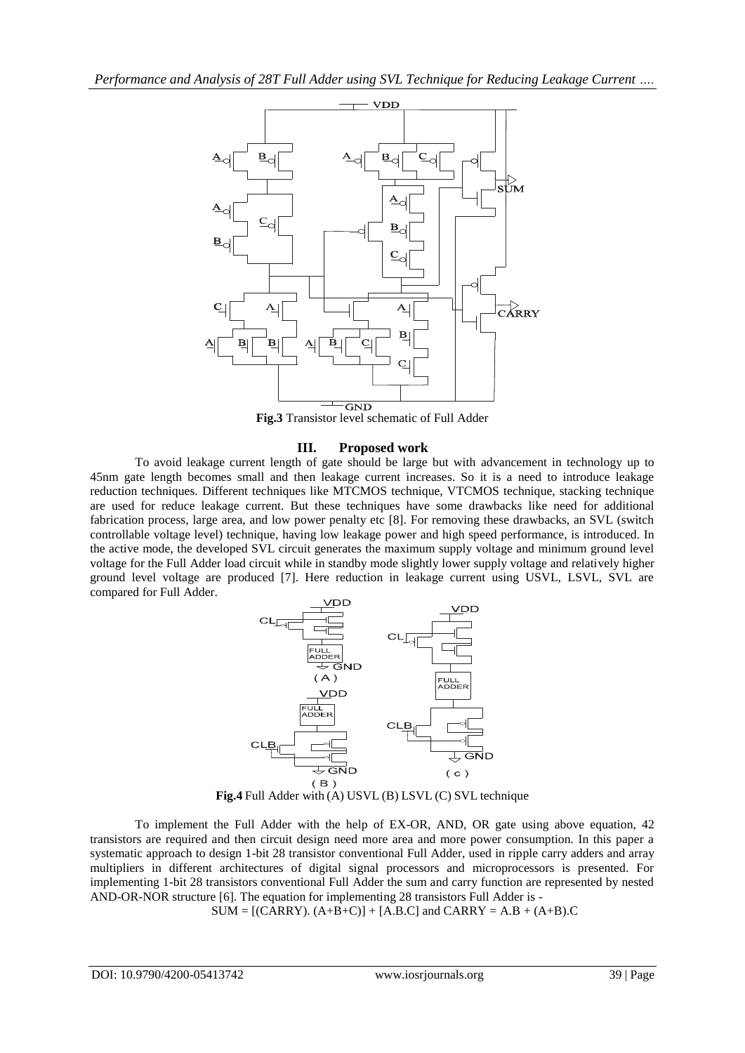

**Fig.3** Transistor level schematic of Full Adder

## **III. Proposed work**

To avoid leakage current length of gate should be large but with advancement in technology up to 45nm gate length becomes small and then leakage current increases. So it is a need to introduce leakage reduction techniques. Different techniques like MTCMOS technique, VTCMOS technique, stacking technique are used for reduce leakage current. But these techniques have some drawbacks like need for additional fabrication process, large area, and low power penalty etc [8]. For removing these drawbacks, an SVL (switch controllable voltage level) technique, having low leakage power and high speed performance, is introduced. In the active mode, the developed SVL circuit generates the maximum supply voltage and minimum ground level voltage for the Full Adder load circuit while in standby mode slightly lower supply voltage and relatively higher ground level voltage are produced [7]. Here reduction in leakage current using USVL, LSVL, SVL are compared for Full Adder.



**Fig.4** Full Adder with (A) USVL (B) LSVL (C) SVL technique

To implement the Full Adder with the help of EX-OR, AND, OR gate using above equation, 42 transistors are required and then circuit design need more area and more power consumption. In this paper a systematic approach to design 1-bit 28 transistor conventional Full Adder, used in ripple carry adders and array multipliers in different architectures of digital signal processors and microprocessors is presented. For implementing 1-bit 28 transistors conventional Full Adder the sum and carry function are represented by nested AND-OR-NOR structure [6]. The equation for implementing 28 transistors Full Adder is -

 $SUM = [(CARRY). (A+B+C)] + [A.B.C]$  and  $CARRY = A.B + (A+B).C$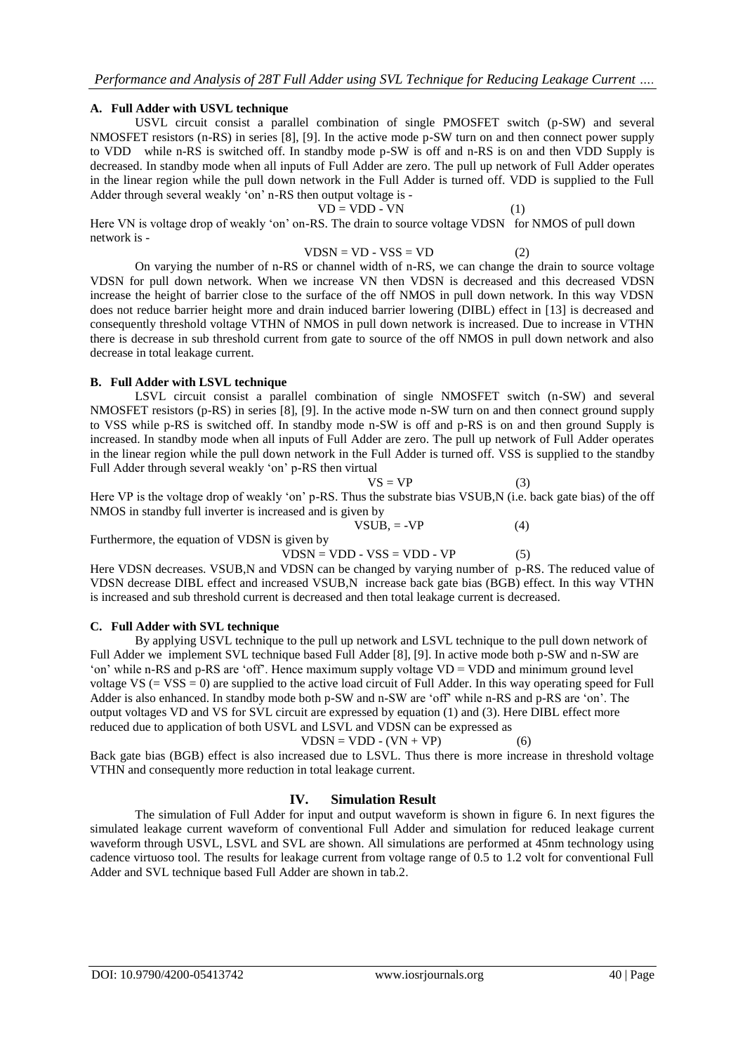#### **A. Full Adder with USVL technique**

USVL circuit consist a parallel combination of single PMOSFET switch (p-SW) and several NMOSFET resistors (n-RS) in series [8], [9]. In the active mode p-SW turn on and then connect power supply to VDD while n-RS is switched off. In standby mode p-SW is off and n-RS is on and then VDD Supply is decreased. In standby mode when all inputs of Full Adder are zero. The pull up network of Full Adder operates in the linear region while the pull down network in the Full Adder is turned off. VDD is supplied to the Full Adder through several weakly 'on' n-RS then output voltage is -

$$
VD = VDD - VN
$$
 (1)

Here VN is voltage drop of weakly 'on' on-RS. The drain to source voltage VDSN for NMOS of pull down network is -

$$
VDSN = VD - VSS = VD \tag{2}
$$

On varying the number of n-RS or channel width of n-RS, we can change the drain to source voltage VDSN for pull down network. When we increase VN then VDSN is decreased and this decreased VDSN increase the height of barrier close to the surface of the off NMOS in pull down network. In this way VDSN does not reduce barrier height more and drain induced barrier lowering (DIBL) effect in [13] is decreased and consequently threshold voltage VTHN of NMOS in pull down network is increased. Due to increase in VTHN there is decrease in sub threshold current from gate to source of the off NMOS in pull down network and also decrease in total leakage current.

#### **B. Full Adder with LSVL technique**

LSVL circuit consist a parallel combination of single NMOSFET switch (n-SW) and several NMOSFET resistors (p-RS) in series [8], [9]. In the active mode n-SW turn on and then connect ground supply to VSS while p-RS is switched off. In standby mode n-SW is off and p-RS is on and then ground Supply is increased. In standby mode when all inputs of Full Adder are zero. The pull up network of Full Adder operates in the linear region while the pull down network in the Full Adder is turned off. VSS is supplied to the standby Full Adder through several weakly 'on' p-RS then virtual

 $VS = VP$  (3)

 $VSUB, = -VP$  (4)

Here VP is the voltage drop of weakly 'on' p-RS. Thus the substrate bias VSUB,N (i.e. back gate bias) of the off NMOS in standby full inverter is increased and is given by

Furthermore, the equation of VDSN is given by

$$
VDSN = VDD - VSS = VDD - VP
$$
 (5)

Here VDSN decreases. VSUB,N and VDSN can be changed by varying number of p-RS. The reduced value of VDSN decrease DIBL effect and increased VSUB,N increase back gate bias (BGB) effect. In this way VTHN is increased and sub threshold current is decreased and then total leakage current is decreased.

#### **C. Full Adder with SVL technique**

By applying USVL technique to the pull up network and LSVL technique to the pull down network of Full Adder we implement SVL technique based Full Adder [8], [9]. In active mode both p-SW and n-SW are 'on' while n-RS and p-RS are 'off'. Hence maximum supply voltage VD = VDD and minimum ground level voltage  $VS = VSS = 0$ ) are supplied to the active load circuit of Full Adder. In this way operating speed for Full Adder is also enhanced. In standby mode both p-SW and n-SW are 'off' while n-RS and p-RS are 'on'. The output voltages VD and VS for SVL circuit are expressed by equation (1) and (3). Here DIBL effect more reduced due to application of both USVL and LSVL and VDSN can be expressed as

#### $VDSN = VDD - (VN + VP)$  (6)

Back gate bias (BGB) effect is also increased due to LSVL. Thus there is more increase in threshold voltage VTHN and consequently more reduction in total leakage current.

## **IV. Simulation Result**

The simulation of Full Adder for input and output waveform is shown in figure 6. In next figures the simulated leakage current waveform of conventional Full Adder and simulation for reduced leakage current waveform through USVL, LSVL and SVL are shown. All simulations are performed at 45nm technology using cadence virtuoso tool. The results for leakage current from voltage range of 0.5 to 1.2 volt for conventional Full Adder and SVL technique based Full Adder are shown in tab.2.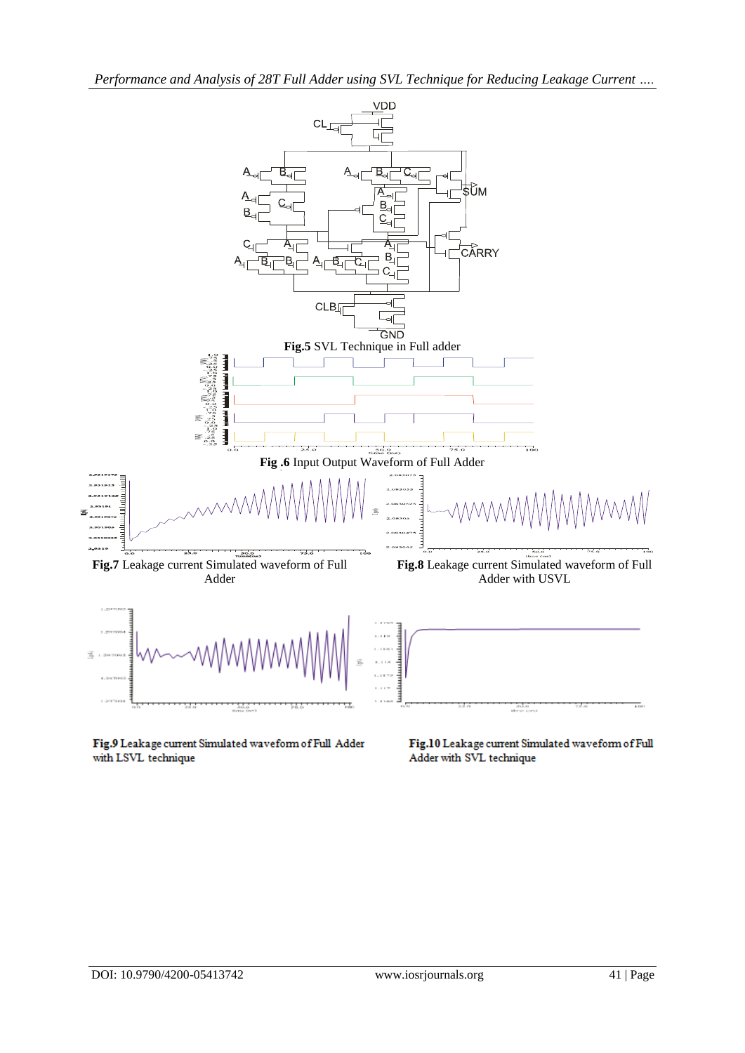*Performance and Analysis of 28T Full Adder using SVL Technique for Reducing Leakage Current ….*



Fig.9 Leakage current Simulated waveform of Full Adder with LSVL technique

Fig.10 Leakage current Simulated waveform of Full Adder with SVL technique